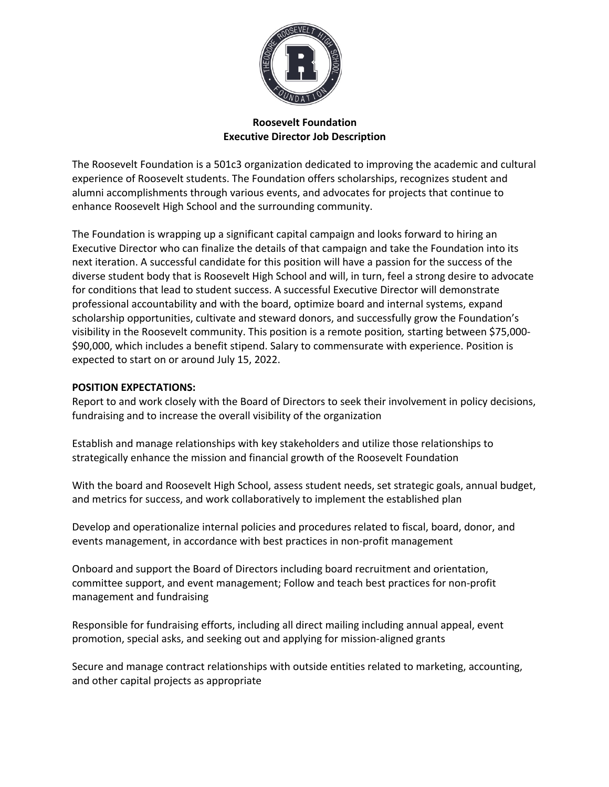

# **Roosevelt Foundation Executive Director Job Description**

The Roosevelt Foundation is a 501c3 organization dedicated to improving the academic and cultural experience of Roosevelt students. The Foundation offers scholarships, recognizes student and alumni accomplishments through various events, and advocates for projects that continue to enhance Roosevelt High School and the surrounding community.

The Foundation is wrapping up a significant capital campaign and looks forward to hiring an Executive Director who can finalize the details of that campaign and take the Foundation into its next iteration. A successful candidate for this position will have a passion for the success of the diverse student body that is Roosevelt High School and will, in turn, feel a strong desire to advocate for conditions that lead to student success. A successful Executive Director will demonstrate professional accountability and with the board, optimize board and internal systems, expand scholarship opportunities, cultivate and steward donors, and successfully grow the Foundation's visibility in the Roosevelt community. This position is a remote position*,* starting between \$75,000- \$90,000, which includes a benefit stipend. Salary to commensurate with experience. Position is expected to start on or around July 15, 2022.

### **POSITION EXPECTATIONS:**

Report to and work closely with the Board of Directors to seek their involvement in policy decisions, fundraising and to increase the overall visibility of the organization

Establish and manage relationships with key stakeholders and utilize those relationships to strategically enhance the mission and financial growth of the Roosevelt Foundation

With the board and Roosevelt High School, assess student needs, set strategic goals, annual budget, and metrics for success, and work collaboratively to implement the established plan

Develop and operationalize internal policies and procedures related to fiscal, board, donor, and events management, in accordance with best practices in non-profit management

Onboard and support the Board of Directors including board recruitment and orientation, committee support, and event management; Follow and teach best practices for non-profit management and fundraising

Responsible for fundraising efforts, including all direct mailing including annual appeal, event promotion, special asks, and seeking out and applying for mission-aligned grants

Secure and manage contract relationships with outside entities related to marketing, accounting, and other capital projects as appropriate